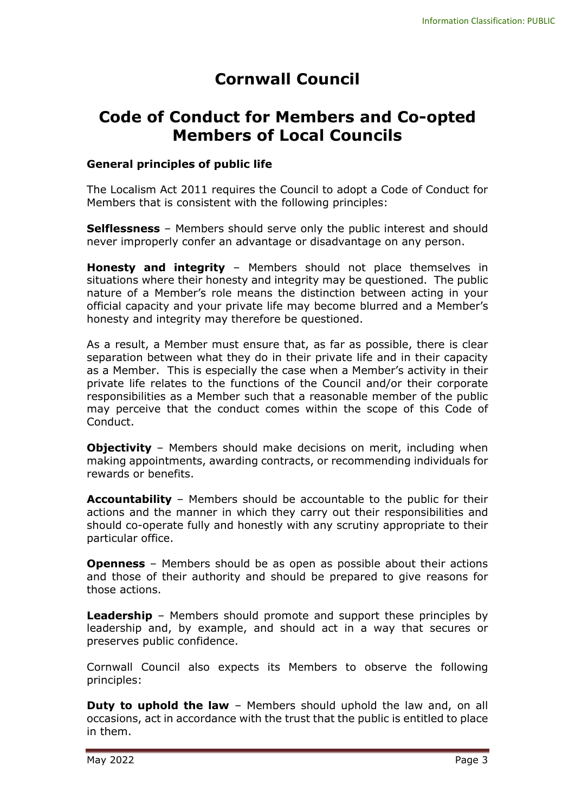# **Cornwall Council**

## **Code of Conduct for Members and Co-opted Members of Local Councils**

#### **General principles of public life**

The Localism Act 2011 requires the Council to adopt a Code of Conduct for Members that is consistent with the following principles:

**Selflessness** – Members should serve only the public interest and should never improperly confer an advantage or disadvantage on any person.

**Honesty and integrity** – Members should not place themselves in situations where their honesty and integrity may be questioned. The public nature of a Member's role means the distinction between acting in your official capacity and your private life may become blurred and a Member's honesty and integrity may therefore be questioned.

As a result, a Member must ensure that, as far as possible, there is clear separation between what they do in their private life and in their capacity as a Member. This is especially the case when a Member's activity in their private life relates to the functions of the Council and/or their corporate responsibilities as a Member such that a reasonable member of the public may perceive that the conduct comes within the scope of this Code of Conduct.

**Objectivity** - Members should make decisions on merit, including when making appointments, awarding contracts, or recommending individuals for rewards or benefits.

**Accountability** – Members should be accountable to the public for their actions and the manner in which they carry out their responsibilities and should co-operate fully and honestly with any scrutiny appropriate to their particular office.

**Openness** – Members should be as open as possible about their actions and those of their authority and should be prepared to give reasons for those actions.

**Leadership** – Members should promote and support these principles by leadership and, by example, and should act in a way that secures or preserves public confidence.

Cornwall Council also expects its Members to observe the following principles:

**Duty to uphold the law** – Members should uphold the law and, on all occasions, act in accordance with the trust that the public is entitled to place in them.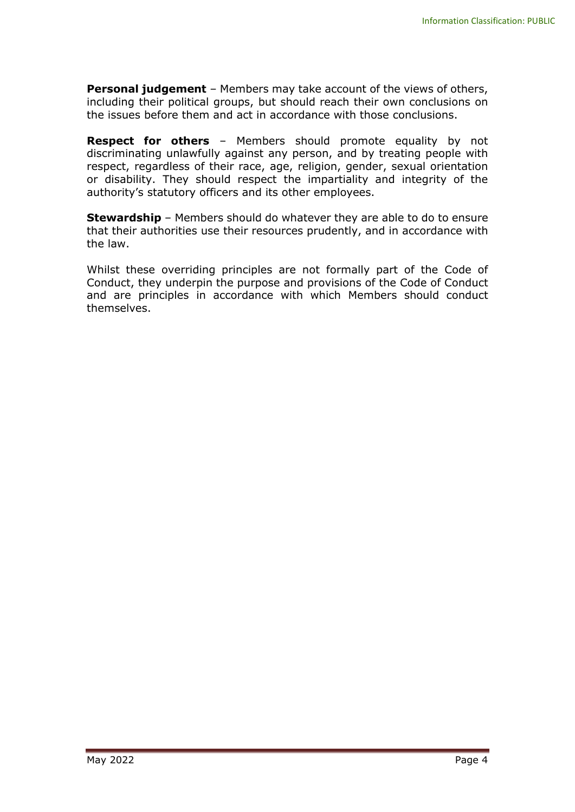**Personal judgement** – Members may take account of the views of others, including their political groups, but should reach their own conclusions on the issues before them and act in accordance with those conclusions.

**Respect for others** – Members should promote equality by not discriminating unlawfully against any person, and by treating people with respect, regardless of their race, age, religion, gender, sexual orientation or disability. They should respect the impartiality and integrity of the authority's statutory officers and its other employees.

**Stewardship** – Members should do whatever they are able to do to ensure that their authorities use their resources prudently, and in accordance with the law.

Whilst these overriding principles are not formally part of the Code of Conduct, they underpin the purpose and provisions of the Code of Conduct and are principles in accordance with which Members should conduct themselves.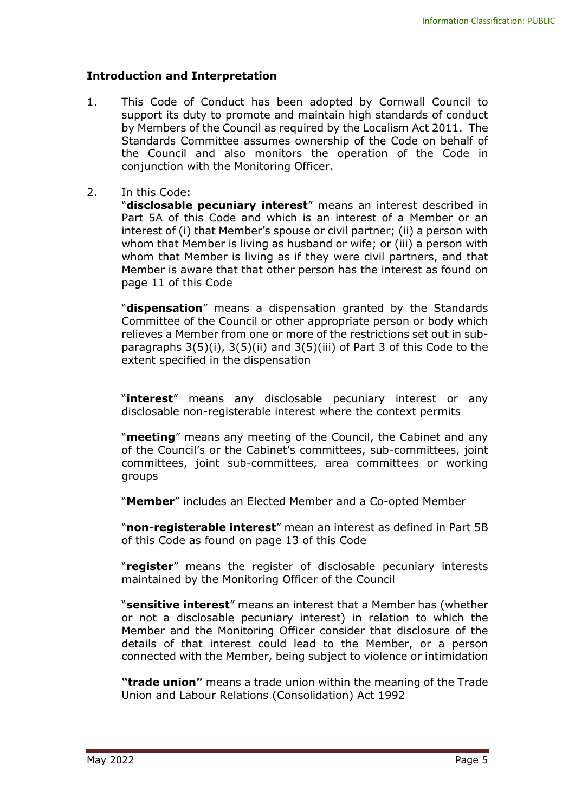#### **Introduction and Interpretation**

- 1. This Code of Conduct has been adopted by Cornwall Council to support its duty to promote and maintain high standards of conduct by Members of the Council as required by the Localism Act 2011. The Standards Committee assumes ownership of the Code on behalf of the Council and also monitors the operation of the Code in conjunction with the Monitoring Officer.
- 2. In this Code:

"**disclosable pecuniary interest**" means an interest described in Part 5A of this Code and which is an interest of a Member or an interest of (i) that Member's spouse or civil partner; (ii) a person with whom that Member is living as husband or wife; or (iii) a person with whom that Member is living as if they were civil partners, and that Member is aware that that other person has the interest as found on page 11 of this Code

"**dispensation**" means a dispensation granted by the Standards Committee of the Council or other appropriate person or body which relieves a Member from one or more of the restrictions set out in subparagraphs 3(5)(i), 3(5)(ii) and 3(5)(iii) of Part 3 of this Code to the extent specified in the dispensation

"**interest**" means any disclosable pecuniary interest or any disclosable non-registerable interest where the context permits

"**meeting**" means any meeting of the Council, the Cabinet and any of the Council's or the Cabinet's committees, sub-committees, joint committees, joint sub-committees, area committees or working groups

"**Member**" includes an Elected Member and a Co-opted Member

"**non-registerable interest**" mean an interest as defined in Part 5B of this Code as found on page 13 of this Code

"**register**" means the register of disclosable pecuniary interests maintained by the Monitoring Officer of the Council

"**sensitive interest**" means an interest that a Member has (whether or not a disclosable pecuniary interest) in relation to which the Member and the Monitoring Officer consider that disclosure of the details of that interest could lead to the Member, or a person connected with the Member, being subject to violence or intimidation

**"trade union"** means a trade union within the meaning of the Trade Union and Labour Relations (Consolidation) Act 1992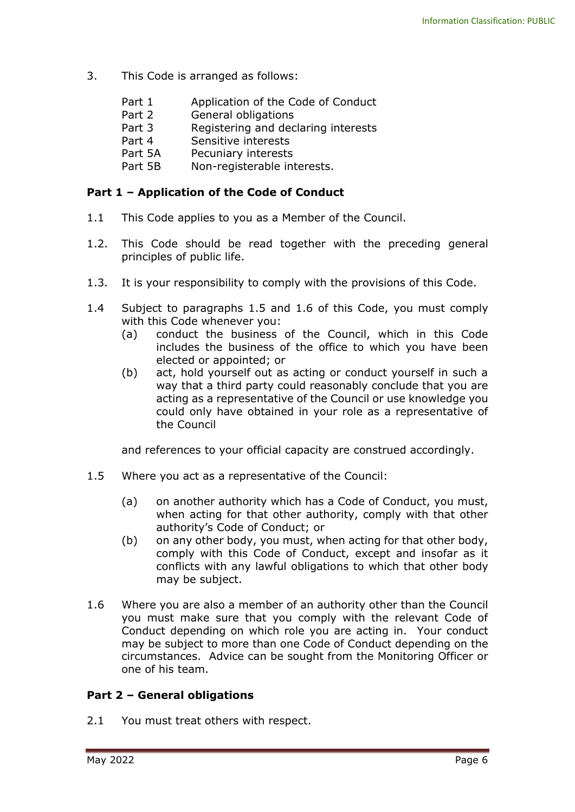- 3. This Code is arranged as follows:
	- Part 1 Application of the Code of Conduct
	- Part 2 General obligations
	- Part 3 Registering and declaring interests
	- Part 4 Sensitive interests
	- Part 5A Pecuniary interests
	- Part 5B Non-registerable interests.

#### **Part 1 – Application of the Code of Conduct**

- 1.1 This Code applies to you as a Member of the Council.
- 1.2. This Code should be read together with the preceding general principles of public life.
- 1.3. It is your responsibility to comply with the provisions of this Code.
- 1.4 Subject to paragraphs 1.5 and 1.6 of this Code, you must comply with this Code whenever you:
	- (a) conduct the business of the Council, which in this Code includes the business of the office to which you have been elected or appointed; or
	- (b) act, hold yourself out as acting or conduct yourself in such a way that a third party could reasonably conclude that you are acting as a representative of the Council or use knowledge you could only have obtained in your role as a representative of the Council

and references to your official capacity are construed accordingly.

- 1.5 Where you act as a representative of the Council:
	- (a) on another authority which has a Code of Conduct, you must, when acting for that other authority, comply with that other authority's Code of Conduct; or
	- (b) on any other body, you must, when acting for that other body, comply with this Code of Conduct, except and insofar as it conflicts with any lawful obligations to which that other body may be subject.
- 1.6 Where you are also a member of an authority other than the Council you must make sure that you comply with the relevant Code of Conduct depending on which role you are acting in. Your conduct may be subject to more than one Code of Conduct depending on the circumstances. Advice can be sought from the Monitoring Officer or one of his team.

#### **Part 2 – General obligations**

2.1 You must treat others with respect.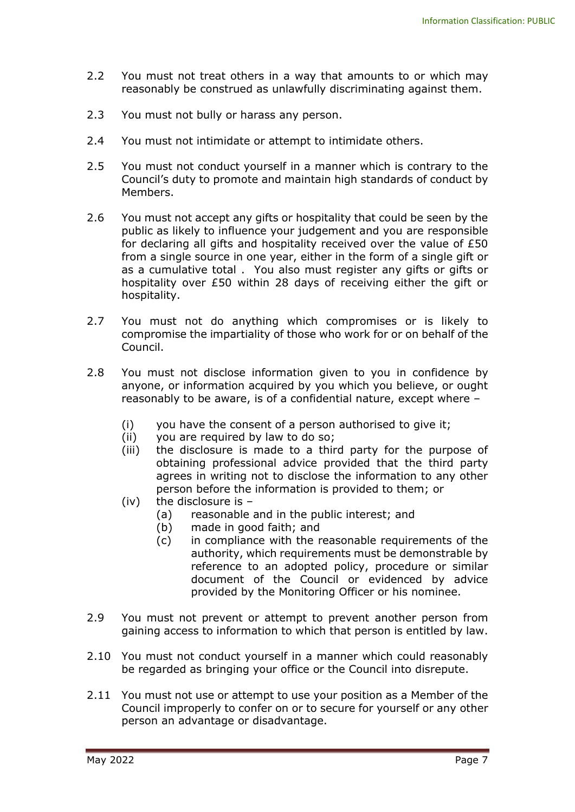- 2.2 You must not treat others in a way that amounts to or which may reasonably be construed as unlawfully discriminating against them.
- 2.3 You must not bully or harass any person.
- 2.4 You must not intimidate or attempt to intimidate others.
- 2.5 You must not conduct yourself in a manner which is contrary to the Council's duty to promote and maintain high standards of conduct by Members.
- 2.6 You must not accept any gifts or hospitality that could be seen by the public as likely to influence your judgement and you are responsible for declaring all gifts and hospitality received over the value of £50 from a single source in one year, either in the form of a single gift or as a cumulative total . You also must register any gifts or gifts or hospitality over £50 within 28 days of receiving either the gift or hospitality.
- 2.7 You must not do anything which compromises or is likely to compromise the impartiality of those who work for or on behalf of the Council.
- 2.8 You must not disclose information given to you in confidence by anyone, or information acquired by you which you believe, or ought reasonably to be aware, is of a confidential nature, except where –
	- (i) you have the consent of a person authorised to give it;
	- (ii) you are required by law to do so;
	- (iii) the disclosure is made to a third party for the purpose of obtaining professional advice provided that the third party agrees in writing not to disclose the information to any other person before the information is provided to them; or
	- (iv) the disclosure is
		- (a) reasonable and in the public interest; and
		- (b) made in good faith; and
		- (c) in compliance with the reasonable requirements of the authority, which requirements must be demonstrable by reference to an adopted policy, procedure or similar document of the Council or evidenced by advice provided by the Monitoring Officer or his nominee.
- 2.9 You must not prevent or attempt to prevent another person from gaining access to information to which that person is entitled by law.
- 2.10 You must not conduct yourself in a manner which could reasonably be regarded as bringing your office or the Council into disrepute.
- 2.11 You must not use or attempt to use your position as a Member of the Council improperly to confer on or to secure for yourself or any other person an advantage or disadvantage.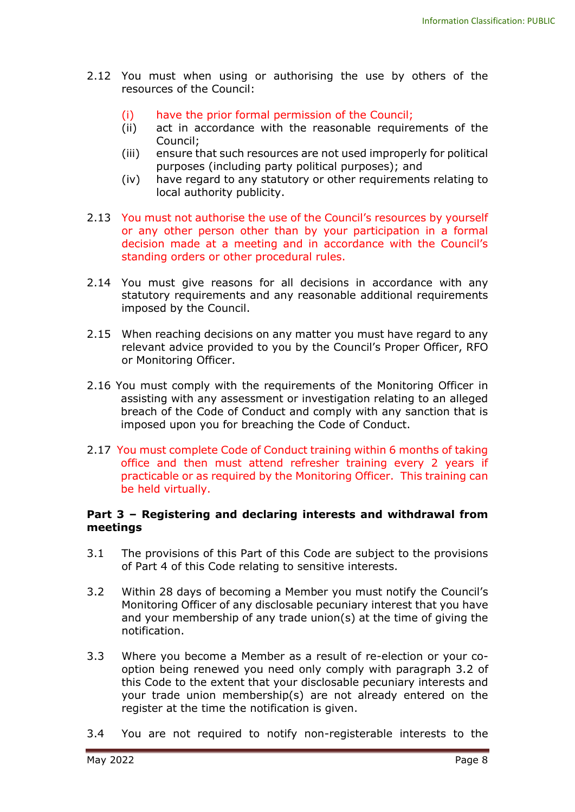- 2.12 You must when using or authorising the use by others of the resources of the Council:
	- (i) have the prior formal permission of the Council;
	- (ii) act in accordance with the reasonable requirements of the Council;
	- (iii) ensure that such resources are not used improperly for political purposes (including party political purposes); and
	- (iv) have regard to any statutory or other requirements relating to local authority publicity.
- 2.13 You must not authorise the use of the Council's resources by yourself or any other person other than by your participation in a formal decision made at a meeting and in accordance with the Council's standing orders or other procedural rules.
- 2.14 You must give reasons for all decisions in accordance with any statutory requirements and any reasonable additional requirements imposed by the Council.
- 2.15 When reaching decisions on any matter you must have regard to any relevant advice provided to you by the Council's Proper Officer, RFO or Monitoring Officer.
- 2.16 You must comply with the requirements of the Monitoring Officer in assisting with any assessment or investigation relating to an alleged breach of the Code of Conduct and comply with any sanction that is imposed upon you for breaching the Code of Conduct.
- 2.17 You must complete Code of Conduct training within 6 months of taking office and then must attend refresher training every 2 years if practicable or as required by the Monitoring Officer. This training can be held virtually.

#### **Part 3 – Registering and declaring interests and withdrawal from meetings**

- 3.1 The provisions of this Part of this Code are subject to the provisions of Part 4 of this Code relating to sensitive interests.
- 3.2 Within 28 days of becoming a Member you must notify the Council's Monitoring Officer of any disclosable pecuniary interest that you have and your membership of any trade union(s) at the time of giving the notification.
- 3.3 Where you become a Member as a result of re-election or your cooption being renewed you need only comply with paragraph 3.2 of this Code to the extent that your disclosable pecuniary interests and your trade union membership(s) are not already entered on the register at the time the notification is given.
- 3.4 You are not required to notify non-registerable interests to the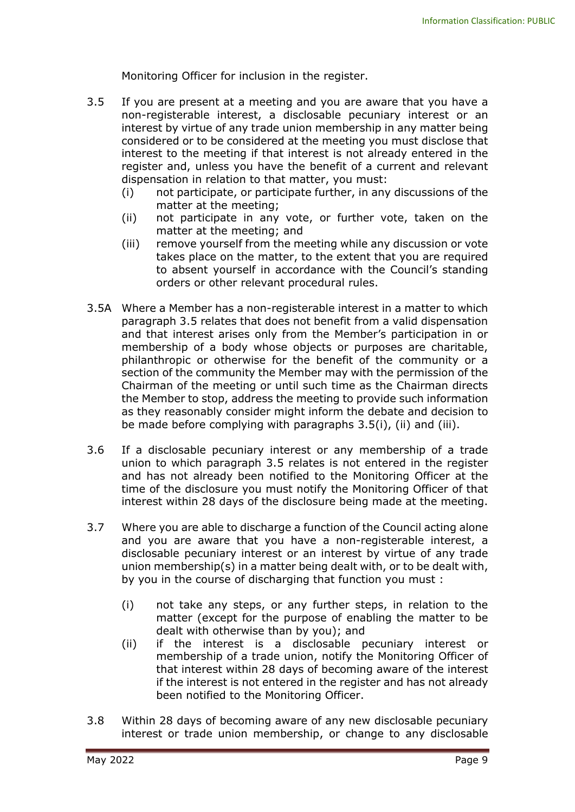Monitoring Officer for inclusion in the register.

- 3.5 If you are present at a meeting and you are aware that you have a non-registerable interest, a disclosable pecuniary interest or an interest by virtue of any trade union membership in any matter being considered or to be considered at the meeting you must disclose that interest to the meeting if that interest is not already entered in the register and, unless you have the benefit of a current and relevant dispensation in relation to that matter, you must:
	- (i) not participate, or participate further, in any discussions of the matter at the meeting;
	- (ii) not participate in any vote, or further vote, taken on the matter at the meeting; and
	- (iii) remove yourself from the meeting while any discussion or vote takes place on the matter, to the extent that you are required to absent yourself in accordance with the Council's standing orders or other relevant procedural rules.
- 3.5A Where a Member has a non-registerable interest in a matter to which paragraph 3.5 relates that does not benefit from a valid dispensation and that interest arises only from the Member's participation in or membership of a body whose objects or purposes are charitable, philanthropic or otherwise for the benefit of the community or a section of the community the Member may with the permission of the Chairman of the meeting or until such time as the Chairman directs the Member to stop, address the meeting to provide such information as they reasonably consider might inform the debate and decision to be made before complying with paragraphs 3.5(i), (ii) and (iii).
- 3.6 If a disclosable pecuniary interest or any membership of a trade union to which paragraph 3.5 relates is not entered in the register and has not already been notified to the Monitoring Officer at the time of the disclosure you must notify the Monitoring Officer of that interest within 28 days of the disclosure being made at the meeting.
- 3.7 Where you are able to discharge a function of the Council acting alone and you are aware that you have a non-registerable interest, a disclosable pecuniary interest or an interest by virtue of any trade union membership(s) in a matter being dealt with, or to be dealt with, by you in the course of discharging that function you must :
	- (i) not take any steps, or any further steps, in relation to the matter (except for the purpose of enabling the matter to be dealt with otherwise than by you); and
	- (ii) if the interest is a disclosable pecuniary interest or membership of a trade union, notify the Monitoring Officer of that interest within 28 days of becoming aware of the interest if the interest is not entered in the register and has not already been notified to the Monitoring Officer.
- 3.8 Within 28 days of becoming aware of any new disclosable pecuniary interest or trade union membership, or change to any disclosable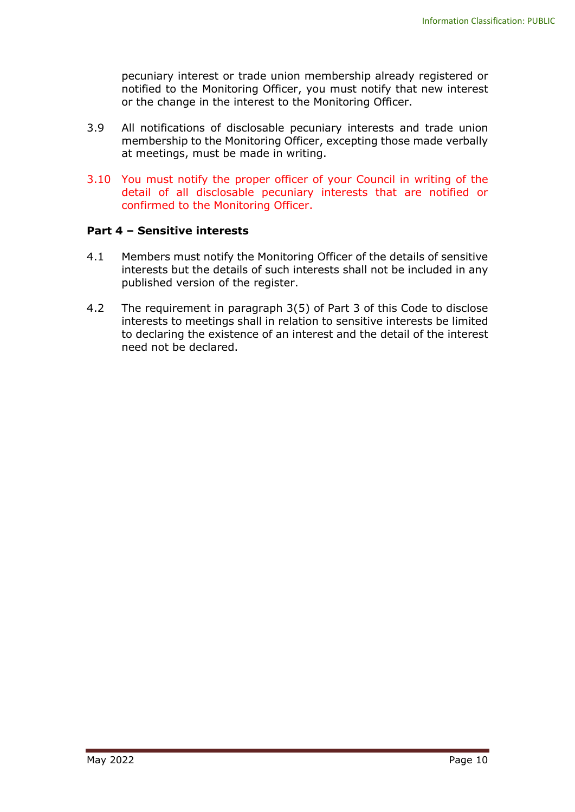pecuniary interest or trade union membership already registered or notified to the Monitoring Officer, you must notify that new interest or the change in the interest to the Monitoring Officer.

- 3.9 All notifications of disclosable pecuniary interests and trade union membership to the Monitoring Officer, excepting those made verbally at meetings, must be made in writing.
- 3.10 You must notify the proper officer of your Council in writing of the detail of all disclosable pecuniary interests that are notified or confirmed to the Monitoring Officer.

#### **Part 4 – Sensitive interests**

- 4.1 Members must notify the Monitoring Officer of the details of sensitive interests but the details of such interests shall not be included in any published version of the register.
- 4.2 The requirement in paragraph 3(5) of Part 3 of this Code to disclose interests to meetings shall in relation to sensitive interests be limited to declaring the existence of an interest and the detail of the interest need not be declared.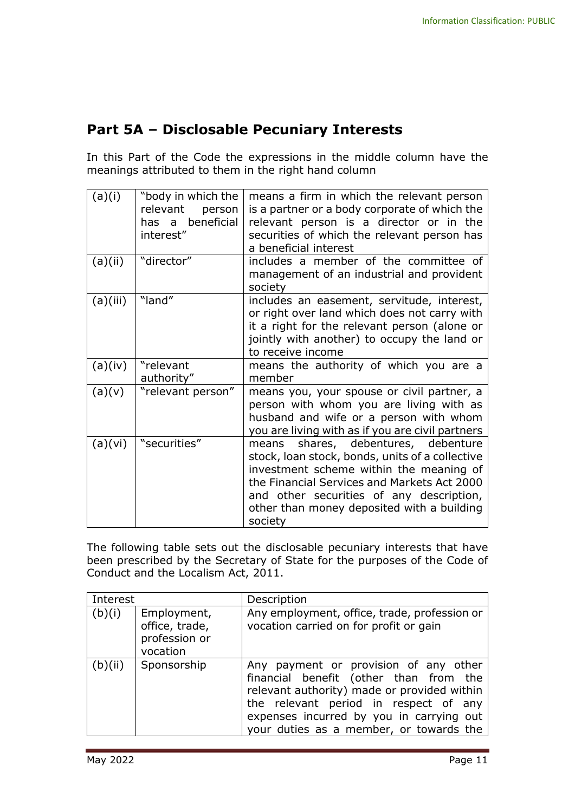## **Part 5A – Disclosable Pecuniary Interests**

In this Part of the Code the expressions in the middle column have the meanings attributed to them in the right hand column

| (a)(i)   | "body in which the<br>relevant<br>person<br>has a beneficial<br>interest" | means a firm in which the relevant person<br>is a partner or a body corporate of which the<br>relevant person is a director or in the<br>securities of which the relevant person has<br>a beneficial interest                                                                         |
|----------|---------------------------------------------------------------------------|---------------------------------------------------------------------------------------------------------------------------------------------------------------------------------------------------------------------------------------------------------------------------------------|
| (a)(ii)  | "director"                                                                | includes a member of the committee of<br>management of an industrial and provident<br>society                                                                                                                                                                                         |
| (a)(iii) | "land"                                                                    | includes an easement, servitude, interest,<br>or right over land which does not carry with<br>it a right for the relevant person (alone or<br>jointly with another) to occupy the land or<br>to receive income                                                                        |
| (a)(iv)  | "relevant<br>authority"                                                   | means the authority of which you are a<br>member                                                                                                                                                                                                                                      |
| (a)(v)   | "relevant person"                                                         | means you, your spouse or civil partner, a<br>person with whom you are living with as<br>husband and wife or a person with whom<br>you are living with as if you are civil partners                                                                                                   |
| (a)(vi)  | "securities"                                                              | means shares, debentures, debenture<br>stock, loan stock, bonds, units of a collective<br>investment scheme within the meaning of<br>the Financial Services and Markets Act 2000<br>and other securities of any description,<br>other than money deposited with a building<br>society |

The following table sets out the disclosable pecuniary interests that have been prescribed by the Secretary of State for the purposes of the Code of Conduct and the Localism Act, 2011.

| Interest |                                                            | Description                                                                                                                                                                                                                                                    |
|----------|------------------------------------------------------------|----------------------------------------------------------------------------------------------------------------------------------------------------------------------------------------------------------------------------------------------------------------|
| (b)(i)   | Employment,<br>office, trade,<br>profession or<br>vocation | Any employment, office, trade, profession or<br>vocation carried on for profit or gain                                                                                                                                                                         |
| (b)(ii)  | Sponsorship                                                | Any payment or provision of any other<br>financial benefit (other than from the<br>relevant authority) made or provided within<br>the relevant period in respect of any<br>expenses incurred by you in carrying out<br>your duties as a member, or towards the |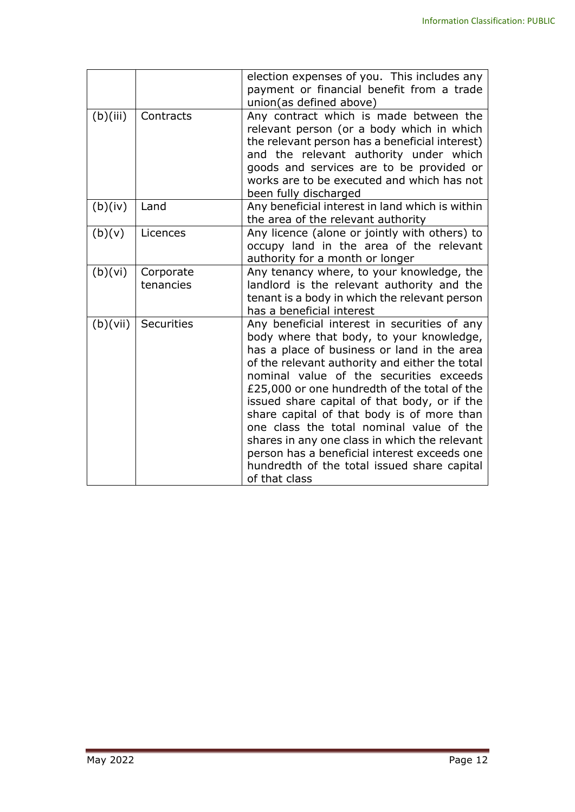|          |                        | election expenses of you. This includes any<br>payment or financial benefit from a trade<br>union(as defined above)                                                                                                                                                                                                                                                                                                                                                                                                                                                                             |
|----------|------------------------|-------------------------------------------------------------------------------------------------------------------------------------------------------------------------------------------------------------------------------------------------------------------------------------------------------------------------------------------------------------------------------------------------------------------------------------------------------------------------------------------------------------------------------------------------------------------------------------------------|
| (b)(iii) | Contracts              | Any contract which is made between the<br>relevant person (or a body which in which<br>the relevant person has a beneficial interest)<br>and the relevant authority under which<br>goods and services are to be provided or<br>works are to be executed and which has not<br>been fully discharged                                                                                                                                                                                                                                                                                              |
| (b)(iv)  | Land                   | Any beneficial interest in land which is within<br>the area of the relevant authority                                                                                                                                                                                                                                                                                                                                                                                                                                                                                                           |
| (b)(v)   | Licences               | Any licence (alone or jointly with others) to<br>occupy land in the area of the relevant<br>authority for a month or longer                                                                                                                                                                                                                                                                                                                                                                                                                                                                     |
| (b)(vi)  | Corporate<br>tenancies | Any tenancy where, to your knowledge, the<br>landlord is the relevant authority and the<br>tenant is a body in which the relevant person<br>has a beneficial interest                                                                                                                                                                                                                                                                                                                                                                                                                           |
| (b)(vii) | <b>Securities</b>      | Any beneficial interest in securities of any<br>body where that body, to your knowledge,<br>has a place of business or land in the area<br>of the relevant authority and either the total<br>nominal value of the securities exceeds<br>£25,000 or one hundredth of the total of the<br>issued share capital of that body, or if the<br>share capital of that body is of more than<br>one class the total nominal value of the<br>shares in any one class in which the relevant<br>person has a beneficial interest exceeds one<br>hundredth of the total issued share capital<br>of that class |